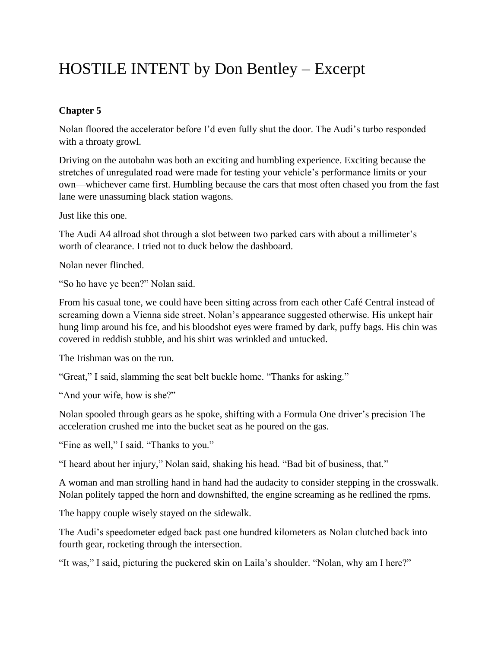## HOSTILE INTENT by Don Bentley – Excerpt

## **Chapter 5**

Nolan floored the accelerator before I'd even fully shut the door. The Audi's turbo responded with a throaty growl.

Driving on the autobahn was both an exciting and humbling experience. Exciting because the stretches of unregulated road were made for testing your vehicle's performance limits or your own—whichever came first. Humbling because the cars that most often chased you from the fast lane were unassuming black station wagons.

Just like this one.

The Audi A4 allroad shot through a slot between two parked cars with about a millimeter's worth of clearance. I tried not to duck below the dashboard.

Nolan never flinched.

"So ho have ye been?" Nolan said.

From his casual tone, we could have been sitting across from each other Café Central instead of screaming down a Vienna side street. Nolan's appearance suggested otherwise. His unkept hair hung limp around his fce, and his bloodshot eyes were framed by dark, puffy bags. His chin was covered in reddish stubble, and his shirt was wrinkled and untucked.

The Irishman was on the run.

"Great," I said, slamming the seat belt buckle home. "Thanks for asking."

"And your wife, how is she?"

Nolan spooled through gears as he spoke, shifting with a Formula One driver's precision The acceleration crushed me into the bucket seat as he poured on the gas.

"Fine as well," I said. "Thanks to you."

"I heard about her injury," Nolan said, shaking his head. "Bad bit of business, that."

A woman and man strolling hand in hand had the audacity to consider stepping in the crosswalk. Nolan politely tapped the horn and downshifted, the engine screaming as he redlined the rpms.

The happy couple wisely stayed on the sidewalk.

The Audi's speedometer edged back past one hundred kilometers as Nolan clutched back into fourth gear, rocketing through the intersection.

"It was," I said, picturing the puckered skin on Laila's shoulder. "Nolan, why am I here?"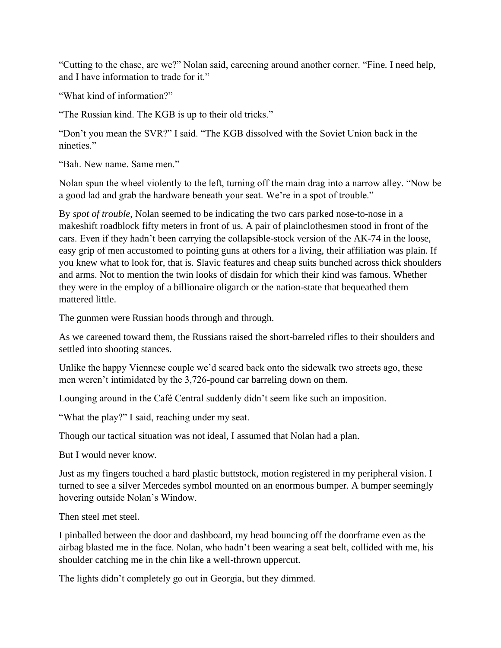"Cutting to the chase, are we?" Nolan said, careening around another corner. "Fine. I need help, and I have information to trade for it."

"What kind of information?"

"The Russian kind. The KGB is up to their old tricks."

"Don't you mean the SVR?" I said. "The KGB dissolved with the Soviet Union back in the nineties."

"Bah. New name. Same men."

Nolan spun the wheel violently to the left, turning off the main drag into a narrow alley. "Now be a good lad and grab the hardware beneath your seat. We're in a spot of trouble."

By *spot of trouble*, Nolan seemed to be indicating the two cars parked nose-to-nose in a makeshift roadblock fifty meters in front of us. A pair of plainclothesmen stood in front of the cars. Even if they hadn't been carrying the collapsible-stock version of the AK-74 in the loose, easy grip of men accustomed to pointing guns at others for a living, their affiliation was plain. If you knew what to look for, that is. Slavic features and cheap suits bunched across thick shoulders and arms. Not to mention the twin looks of disdain for which their kind was famous. Whether they were in the employ of a billionaire oligarch or the nation-state that bequeathed them mattered little.

The gunmen were Russian hoods through and through.

As we careened toward them, the Russians raised the short-barreled rifles to their shoulders and settled into shooting stances.

Unlike the happy Viennese couple we'd scared back onto the sidewalk two streets ago, these men weren't intimidated by the 3,726-pound car barreling down on them.

Lounging around in the Café Central suddenly didn't seem like such an imposition.

"What the play?" I said, reaching under my seat.

Though our tactical situation was not ideal, I assumed that Nolan had a plan.

But I would never know.

Just as my fingers touched a hard plastic buttstock, motion registered in my peripheral vision. I turned to see a silver Mercedes symbol mounted on an enormous bumper. A bumper seemingly hovering outside Nolan's Window.

Then steel met steel.

I pinballed between the door and dashboard, my head bouncing off the doorframe even as the airbag blasted me in the face. Nolan, who hadn't been wearing a seat belt, collided with me, his shoulder catching me in the chin like a well-thrown uppercut.

The lights didn't completely go out in Georgia, but they dimmed.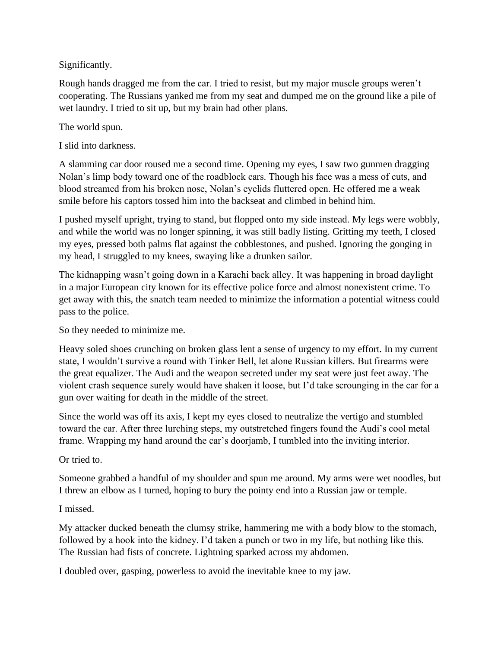Significantly.

Rough hands dragged me from the car. I tried to resist, but my major muscle groups weren't cooperating. The Russians yanked me from my seat and dumped me on the ground like a pile of wet laundry. I tried to sit up, but my brain had other plans.

The world spun.

I slid into darkness.

A slamming car door roused me a second time. Opening my eyes, I saw two gunmen dragging Nolan's limp body toward one of the roadblock cars. Though his face was a mess of cuts, and blood streamed from his broken nose, Nolan's eyelids fluttered open. He offered me a weak smile before his captors tossed him into the backseat and climbed in behind him.

I pushed myself upright, trying to stand, but flopped onto my side instead. My legs were wobbly, and while the world was no longer spinning, it was still badly listing. Gritting my teeth, I closed my eyes, pressed both palms flat against the cobblestones, and pushed. Ignoring the gonging in my head, I struggled to my knees, swaying like a drunken sailor.

The kidnapping wasn't going down in a Karachi back alley. It was happening in broad daylight in a major European city known for its effective police force and almost nonexistent crime. To get away with this, the snatch team needed to minimize the information a potential witness could pass to the police.

So they needed to minimize me.

Heavy soled shoes crunching on broken glass lent a sense of urgency to my effort. In my current state, I wouldn't survive a round with Tinker Bell, let alone Russian killers. But firearms were the great equalizer. The Audi and the weapon secreted under my seat were just feet away. The violent crash sequence surely would have shaken it loose, but I'd take scrounging in the car for a gun over waiting for death in the middle of the street.

Since the world was off its axis, I kept my eyes closed to neutralize the vertigo and stumbled toward the car. After three lurching steps, my outstretched fingers found the Audi's cool metal frame. Wrapping my hand around the car's doorjamb, I tumbled into the inviting interior.

Or tried to.

Someone grabbed a handful of my shoulder and spun me around. My arms were wet noodles, but I threw an elbow as I turned, hoping to bury the pointy end into a Russian jaw or temple.

I missed.

My attacker ducked beneath the clumsy strike, hammering me with a body blow to the stomach, followed by a hook into the kidney. I'd taken a punch or two in my life, but nothing like this. The Russian had fists of concrete. Lightning sparked across my abdomen.

I doubled over, gasping, powerless to avoid the inevitable knee to my jaw.